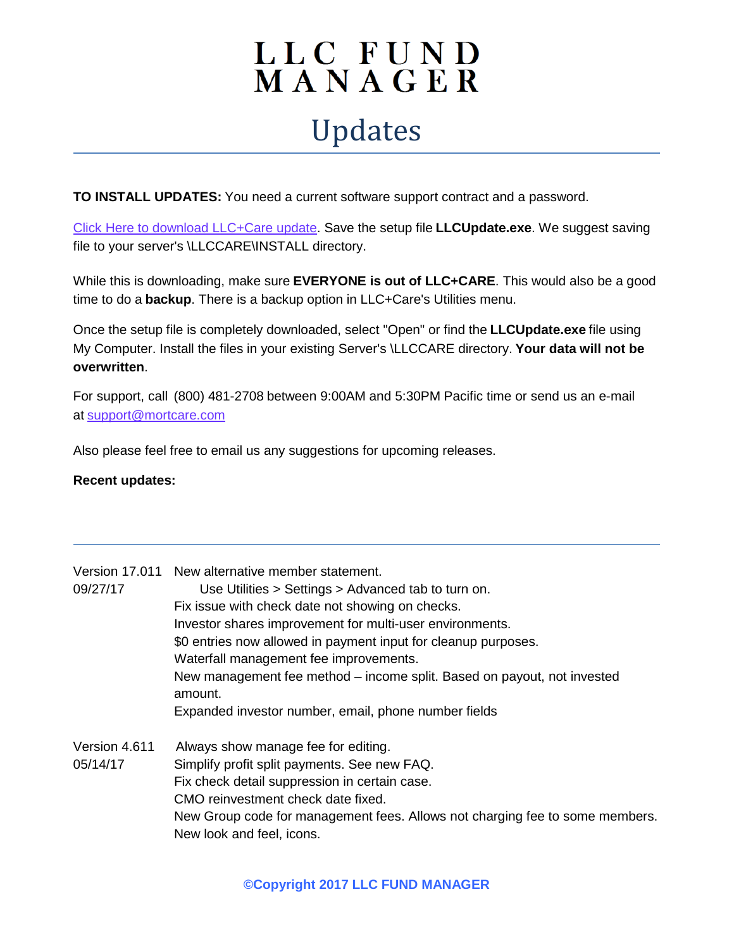## LLC FUND<br>MANAGER Updates

**TO INSTALL UPDATES:** You need a current software support contract and a password.

[Click Here to download LLC+Care update.](http://www.mortcare.com/download/LlcUpdate.exe) Save the setup file **LLCUpdate.exe**. We suggest saving file to your server's \LLCCARE\INSTALL directory.

While this is downloading, make sure **EVERYONE is out of LLC+CARE**. This would also be a good time to do a **backup**. There is a backup option in LLC+Care's Utilities menu.

Once the setup file is completely downloaded, select "Open" or find the **LLCUpdate.exe** file using My Computer. Install the files in your existing Server's \LLCCARE directory. **Your data will not be overwritten**.

For support, call (800) 481-2708 between 9:00AM and 5:30PM Pacific time or send us an e-mail at [support@mortcare.com](mailto:support@mortcare.com)

Also please feel free to email us any suggestions for upcoming releases.

## **Recent updates:**

|               | Version 17.011 New alternative member statement.                                   |
|---------------|------------------------------------------------------------------------------------|
| 09/27/17      | Use Utilities > Settings > Advanced tab to turn on.                                |
|               | Fix issue with check date not showing on checks.                                   |
|               | Investor shares improvement for multi-user environments.                           |
|               | \$0 entries now allowed in payment input for cleanup purposes.                     |
|               | Waterfall management fee improvements.                                             |
|               | New management fee method – income split. Based on payout, not invested<br>amount. |
|               | Expanded investor number, email, phone number fields                               |
| Version 4.611 | Always show manage fee for editing.                                                |
| 05/14/17      | Simplify profit split payments. See new FAQ.                                       |
|               | Fix check detail suppression in certain case.                                      |
|               | CMO reinvestment check date fixed.                                                 |
|               | New Group code for management fees. Allows not charging fee to some members.       |
|               | New look and feel, icons.                                                          |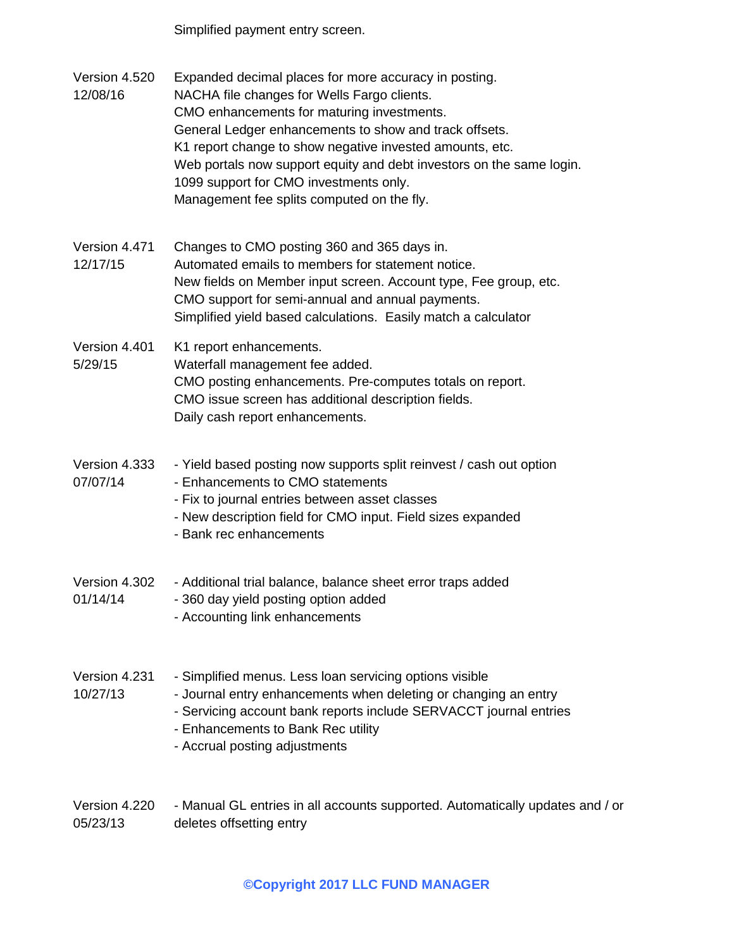Simplified payment entry screen.

- Version 4.520 12/08/16 Expanded decimal places for more accuracy in posting. NACHA file changes for Wells Fargo clients. CMO enhancements for maturing investments. General Ledger enhancements to show and track offsets. K1 report change to show negative invested amounts, etc. Web portals now support equity and debt investors on the same login. 1099 support for CMO investments only. Management fee splits computed on the fly. Version 4.471 Changes to CMO posting 360 and 365 days in.
- 12/17/15 Automated emails to members for statement notice. New fields on Member input screen. Account type, Fee group, etc. CMO support for semi-annual and annual payments. Simplified yield based calculations. Easily match a calculator

## Version 4.401 5/29/15 K1 report enhancements. Waterfall management fee added. CMO posting enhancements. Pre-computes totals on report. CMO issue screen has additional description fields. Daily cash report enhancements.

- Version 4.333 07/07/14 - Yield based posting now supports split reinvest / cash out option - Enhancements to CMO statements - Fix to journal entries between asset classes
	- New description field for CMO input. Field sizes expanded
	- Bank rec enhancements
- Version 4.302 - Additional trial balance, balance sheet error traps added
- 01/14/14 - 360 day yield posting option added
	- Accounting link enhancements
- Version 4.231 - Simplified menus. Less loan servicing options visible
- 10/27/13 - Journal entry enhancements when deleting or changing an entry
	- Servicing account bank reports include SERVACCT journal entries
	- Enhancements to Bank Rec utility
	- Accrual posting adjustments
- Version 4.220 05/23/13 - Manual GL entries in all accounts supported. Automatically updates and / or deletes offsetting entry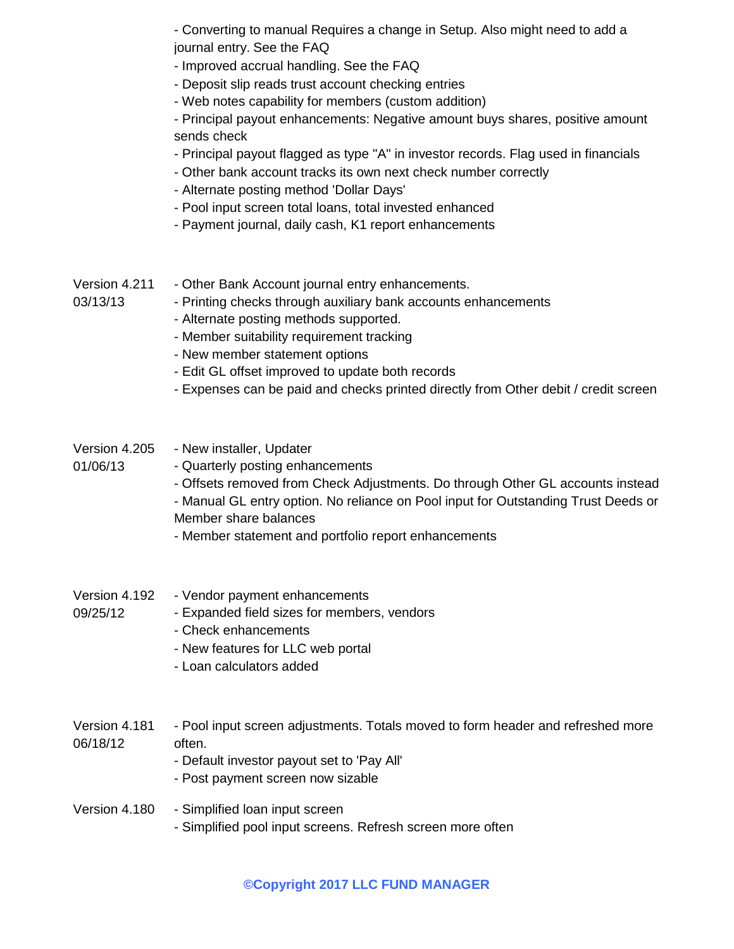- Converting to manual Requires a change in Setup. Also might need to add a journal entry. See the FAQ

- Improved accrual handling. See the FAQ
- Deposit slip reads trust account checking entries
- Web notes capability for members (custom addition)

- Principal payout enhancements: Negative amount buys shares, positive amount sends check

- Principal payout flagged as type "A" in investor records. Flag used in financials
- Other bank account tracks its own next check number correctly
- Alternate posting method 'Dollar Days'
- Pool input screen total loans, total invested enhanced
- Payment journal, daily cash, K1 report enhancements
- Version 4.211 03/13/13 - Other Bank Account journal entry enhancements. - Printing checks through auxiliary bank accounts enhancements
	- Alternate posting methods supported.
	- Member suitability requirement tracking
	- New member statement options
	- Edit GL offset improved to update both records
	- Expenses can be paid and checks printed directly from Other debit / credit screen

Version 4.205 01/06/13 - New installer, Updater - Quarterly posting enhancements - Offsets removed from Check Adjustments. Do through Other GL accounts instead - Manual GL entry option. No reliance on Pool input for Outstanding Trust Deeds or Member share balances - Member statement and portfolio report enhancements Version 4.192 09/25/12 - Vendor payment enhancements - Expanded field sizes for members, vendors - Check enhancements

- New features for LLC web portal
- Loan calculators added
- Version 4.181 06/18/12 - Pool input screen adjustments. Totals moved to form header and refreshed more often.
	- Default investor payout set to 'Pay All'
	- Post payment screen now sizable

## Version 4.180 - Simplified loan input screen - Simplified pool input screens. Refresh screen more often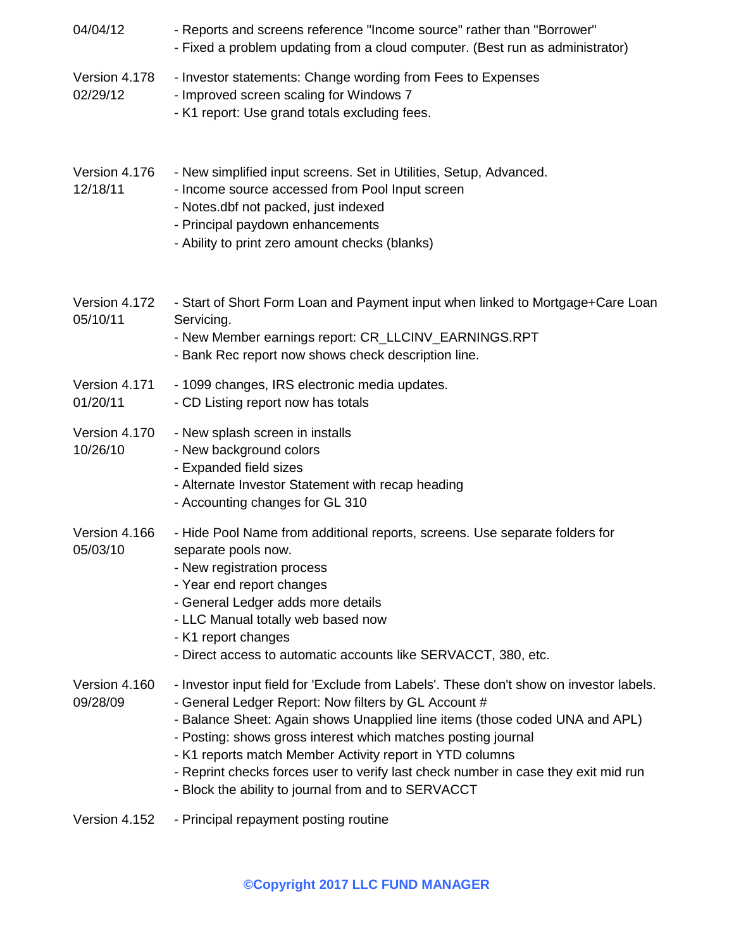| 04/04/12                  | - Reports and screens reference "Income source" rather than "Borrower"<br>- Fixed a problem updating from a cloud computer. (Best run as administrator)                                                                                                                                                                                                                                                                                                                                                 |
|---------------------------|---------------------------------------------------------------------------------------------------------------------------------------------------------------------------------------------------------------------------------------------------------------------------------------------------------------------------------------------------------------------------------------------------------------------------------------------------------------------------------------------------------|
| Version 4.178<br>02/29/12 | - Investor statements: Change wording from Fees to Expenses<br>- Improved screen scaling for Windows 7<br>- K1 report: Use grand totals excluding fees.                                                                                                                                                                                                                                                                                                                                                 |
| Version 4.176<br>12/18/11 | - New simplified input screens. Set in Utilities, Setup, Advanced.<br>- Income source accessed from Pool Input screen<br>- Notes.dbf not packed, just indexed<br>- Principal paydown enhancements<br>- Ability to print zero amount checks (blanks)                                                                                                                                                                                                                                                     |
| Version 4.172<br>05/10/11 | - Start of Short Form Loan and Payment input when linked to Mortgage+Care Loan<br>Servicing.<br>- New Member earnings report: CR_LLCINV_EARNINGS.RPT<br>- Bank Rec report now shows check description line.                                                                                                                                                                                                                                                                                             |
| Version 4.171<br>01/20/11 | - 1099 changes, IRS electronic media updates.<br>- CD Listing report now has totals                                                                                                                                                                                                                                                                                                                                                                                                                     |
| Version 4.170<br>10/26/10 | - New splash screen in installs<br>- New background colors<br>- Expanded field sizes<br>- Alternate Investor Statement with recap heading<br>- Accounting changes for GL 310                                                                                                                                                                                                                                                                                                                            |
| Version 4.166<br>05/03/10 | - Hide Pool Name from additional reports, screens. Use separate folders for<br>separate pools now.<br>- New registration process<br>- Year end report changes<br>- General Ledger adds more details<br>- LLC Manual totally web based now<br>- K1 report changes<br>- Direct access to automatic accounts like SERVACCT, 380, etc.                                                                                                                                                                      |
| Version 4.160<br>09/28/09 | - Investor input field for 'Exclude from Labels'. These don't show on investor labels.<br>- General Ledger Report: Now filters by GL Account #<br>- Balance Sheet: Again shows Unapplied line items (those coded UNA and APL)<br>- Posting: shows gross interest which matches posting journal<br>- K1 reports match Member Activity report in YTD columns<br>- Reprint checks forces user to verify last check number in case they exit mid run<br>- Block the ability to journal from and to SERVACCT |
| Version 4.152             | - Principal repayment posting routine                                                                                                                                                                                                                                                                                                                                                                                                                                                                   |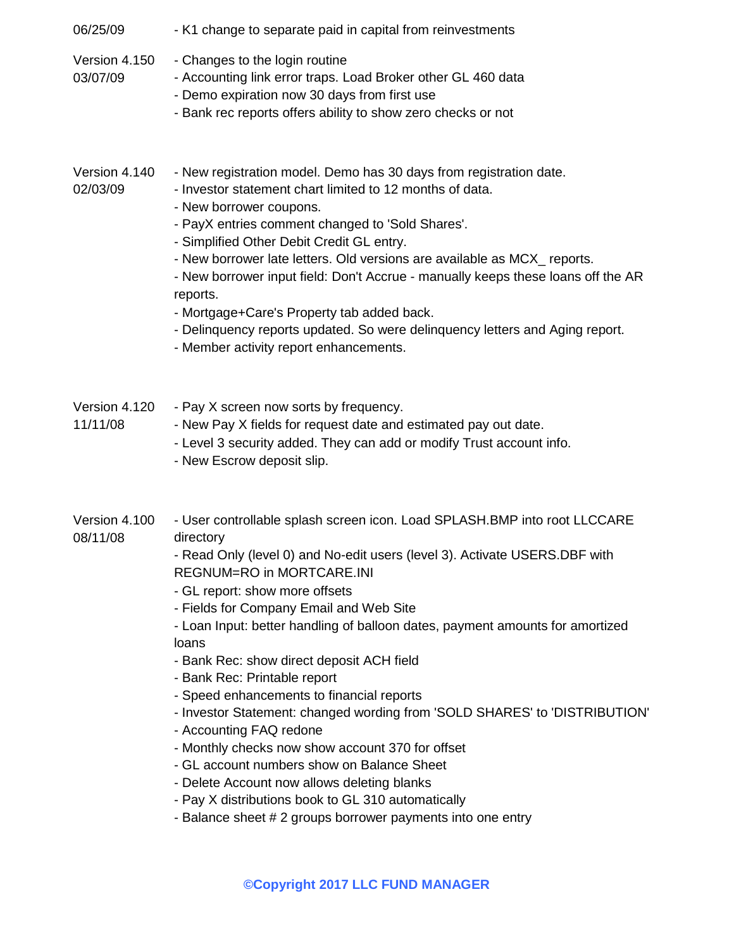| 06/25/09                  | - K1 change to separate paid in capital from reinvestments                                                                                                                                                                                                                                                                                                                                                                                                                                                                                                                                                                                                                                                                                                                                                                                                                        |
|---------------------------|-----------------------------------------------------------------------------------------------------------------------------------------------------------------------------------------------------------------------------------------------------------------------------------------------------------------------------------------------------------------------------------------------------------------------------------------------------------------------------------------------------------------------------------------------------------------------------------------------------------------------------------------------------------------------------------------------------------------------------------------------------------------------------------------------------------------------------------------------------------------------------------|
| Version 4.150<br>03/07/09 | - Changes to the login routine<br>- Accounting link error traps. Load Broker other GL 460 data<br>- Demo expiration now 30 days from first use<br>- Bank rec reports offers ability to show zero checks or not                                                                                                                                                                                                                                                                                                                                                                                                                                                                                                                                                                                                                                                                    |
| Version 4.140<br>02/03/09 | - New registration model. Demo has 30 days from registration date.<br>- Investor statement chart limited to 12 months of data.<br>- New borrower coupons.<br>- PayX entries comment changed to 'Sold Shares'.<br>- Simplified Other Debit Credit GL entry.<br>- New borrower late letters. Old versions are available as MCX_ reports.<br>- New borrower input field: Don't Accrue - manually keeps these loans off the AR<br>reports.<br>- Mortgage+Care's Property tab added back.<br>- Delinquency reports updated. So were delinquency letters and Aging report.<br>- Member activity report enhancements.                                                                                                                                                                                                                                                                    |
| Version 4.120<br>11/11/08 | - Pay X screen now sorts by frequency.<br>- New Pay X fields for request date and estimated pay out date.<br>- Level 3 security added. They can add or modify Trust account info.<br>- New Escrow deposit slip.                                                                                                                                                                                                                                                                                                                                                                                                                                                                                                                                                                                                                                                                   |
| Version 4.100<br>08/11/08 | - User controllable splash screen icon. Load SPLASH.BMP into root LLCCARE<br>directory<br>- Read Only (level 0) and No-edit users (level 3). Activate USERS.DBF with<br>REGNUM=RO in MORTCARE.INI<br>- GL report: show more offsets<br>- Fields for Company Email and Web Site<br>- Loan Input: better handling of balloon dates, payment amounts for amortized<br>loans<br>- Bank Rec: show direct deposit ACH field<br>- Bank Rec: Printable report<br>- Speed enhancements to financial reports<br>- Investor Statement: changed wording from 'SOLD SHARES' to 'DISTRIBUTION'<br>- Accounting FAQ redone<br>- Monthly checks now show account 370 for offset<br>- GL account numbers show on Balance Sheet<br>- Delete Account now allows deleting blanks<br>- Pay X distributions book to GL 310 automatically<br>- Balance sheet # 2 groups borrower payments into one entry |